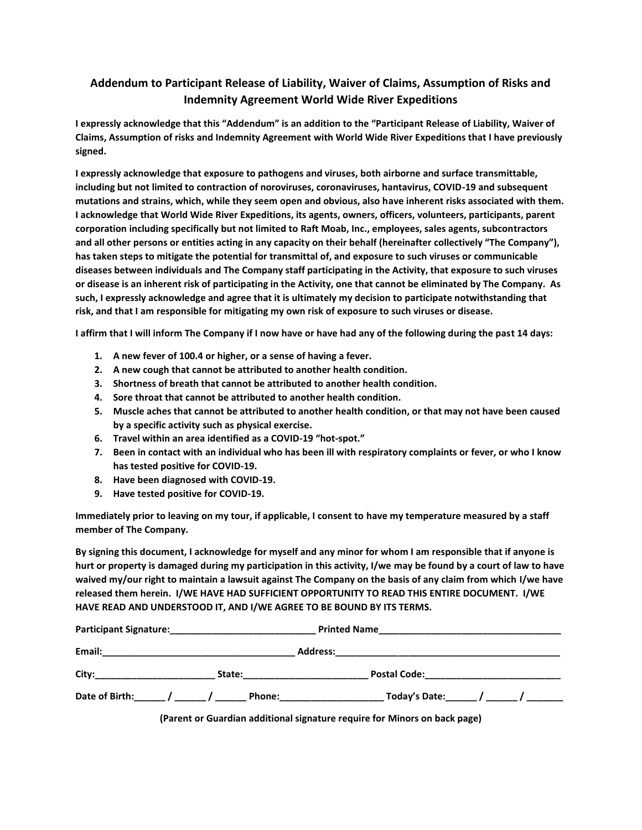## **Addendum to Participant Release of Liability, Waiver of Claims, Assumption of Risks and Indemnity Agreement World Wide River Expeditions**

**I expressly acknowledge that this "Addendum" is an addition to the "Participant Release of Liability, Waiver of Claims, Assumption of risks and Indemnity Agreement with World Wide River Expeditions that I have previously signed.**

**I expressly acknowledge that exposure to pathogens and viruses, both airborne and surface transmittable, including but not limited to contraction of noroviruses, coronaviruses, hantavirus, COVID-19 and subsequent mutations and strains, which, while they seem open and obvious, also have inherent risks associated with them. I acknowledge that World Wide River Expeditions, its agents, owners, officers, volunteers, participants, parent corporation including specifically but not limited to Raft Moab, Inc., employees, sales agents, subcontractors and all other persons or entities acting in any capacity on their behalf (hereinafter collectively "The Company"), has taken steps to mitigate the potential for transmittal of, and exposure to such viruses or communicable diseases between individuals and The Company staff participating in the Activity, that exposure to such viruses or disease is an inherent risk of participating in the Activity, one that cannot be eliminated by The Company. As such, I expressly acknowledge and agree that it is ultimately my decision to participate notwithstanding that risk, and that I am responsible for mitigating my own risk of exposure to such viruses or disease.**

**I affirm that I will inform The Company if I now have or have had any of the following during the past 14 days:**

- **1. A new fever of 100.4 or higher, or a sense of having a fever.**
- **2. A new cough that cannot be attributed to another health condition.**
- **3. Shortness of breath that cannot be attributed to another health condition.**
- **4. Sore throat that cannot be attributed to another health condition.**
- **5. Muscle aches that cannot be attributed to another health condition, or that may not have been caused by a specific activity such as physical exercise.**
- **6. Travel within an area identified as a COVID-19 "hot-spot."**
- **7. Been in contact with an individual who has been ill with respiratory complaints or fever, or who I know has tested positive for COVID-19.**
- **8. Have been diagnosed with COVID-19.**
- **9. Have tested positive for COVID-19.**

**Immediately prior to leaving on my tour, if applicable, I consent to have my temperature measured by a staff member of The Company.**

**By signing this document, I acknowledge for myself and any minor for whom I am responsible that if anyone is hurt or property is damaged during my participation in this activity, I/we may be found by a court of law to have waived my/our right to maintain a lawsuit against The Company on the basis of any claim from which I/we have released them herein. I/WE HAVE HAD SUFFICIENT OPPORTUNITY TO READ THIS ENTIRE DOCUMENT. I/WE HAVE READ AND UNDERSTOOD IT, AND I/WE AGREE TO BE BOUND BY ITS TERMS.**

| <b>Participant Signature:</b>      |        | <b>Printed Name</b> |                             |
|------------------------------------|--------|---------------------|-----------------------------|
| Email:                             |        | <b>Address:</b>     |                             |
| City:                              | State: |                     | <b>Postal Code:</b>         |
| Date of Birth: _____ / _____ / ___ | Phone: |                     | Today's Date: $\sqrt{2\pi}$ |

**(Parent or Guardian additional signature require for Minors on back page)**